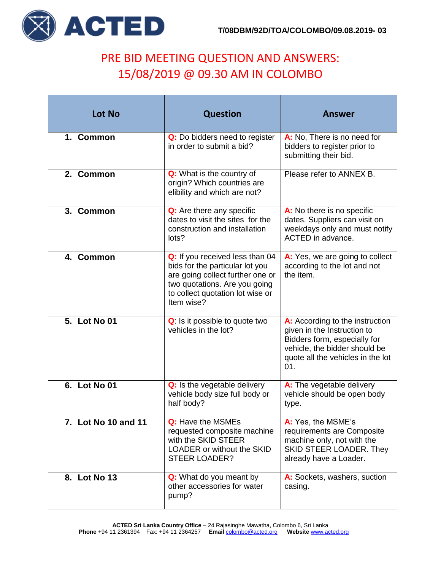

## PRE BID MEETING QUESTION AND ANSWERS: 15/08/2019 @ 09.30 AM IN COLOMBO

| <b>Lot No</b>       | <b>Question</b>                                                                                                                                                                           | <b>Answer</b>                                                                                                                                                               |
|---------------------|-------------------------------------------------------------------------------------------------------------------------------------------------------------------------------------------|-----------------------------------------------------------------------------------------------------------------------------------------------------------------------------|
| 1. Common           | Q: Do bidders need to register<br>in order to submit a bid?                                                                                                                               | A: No, There is no need for<br>bidders to register prior to<br>submitting their bid.                                                                                        |
| 2. Common           | Q: What is the country of<br>origin? Which countries are<br>elibility and which are not?                                                                                                  | Please refer to ANNEX B.                                                                                                                                                    |
| 3. Common           | Q: Are there any specific<br>dates to visit the sites for the<br>construction and installation<br>lots?                                                                                   | A: No there is no specific<br>dates. Suppliers can visit on<br>weekdays only and must notify<br>ACTED in advance.                                                           |
| 4. Common           | Q: If you received less than 04<br>bids for the particular lot you<br>are going collect further one or<br>two quotations. Are you going<br>to collect quotation lot wise or<br>Item wise? | A: Yes, we are going to collect<br>according to the lot and not<br>the item.                                                                                                |
| 5. Lot No 01        | Q: Is it possible to quote two<br>vehicles in the lot?                                                                                                                                    | A: According to the instruction<br>given in the Instruction to<br>Bidders form, especially for<br>vehicle, the bidder should be<br>quote all the vehicles in the lot<br>01. |
| 6. Lot No 01        | Q: Is the vegetable delivery<br>vehicle body size full body or<br>half body?                                                                                                              | A: The vegetable delivery<br>vehicle should be open body<br>type.                                                                                                           |
| 7. Lot No 10 and 11 | Q: Have the MSMEs<br>requested composite machine<br>with the SKID STEER<br><b>LOADER or without the SKID</b><br><b>STEER LOADER?</b>                                                      | A: Yes, the MSME's<br>requirements are Composite<br>machine only, not with the<br>SKID STEER LOADER. They<br>already have a Loader.                                         |
| 8. Lot No 13        | Q: What do you meant by<br>other accessories for water<br>pump?                                                                                                                           | A: Sockets, washers, suction<br>casing.                                                                                                                                     |